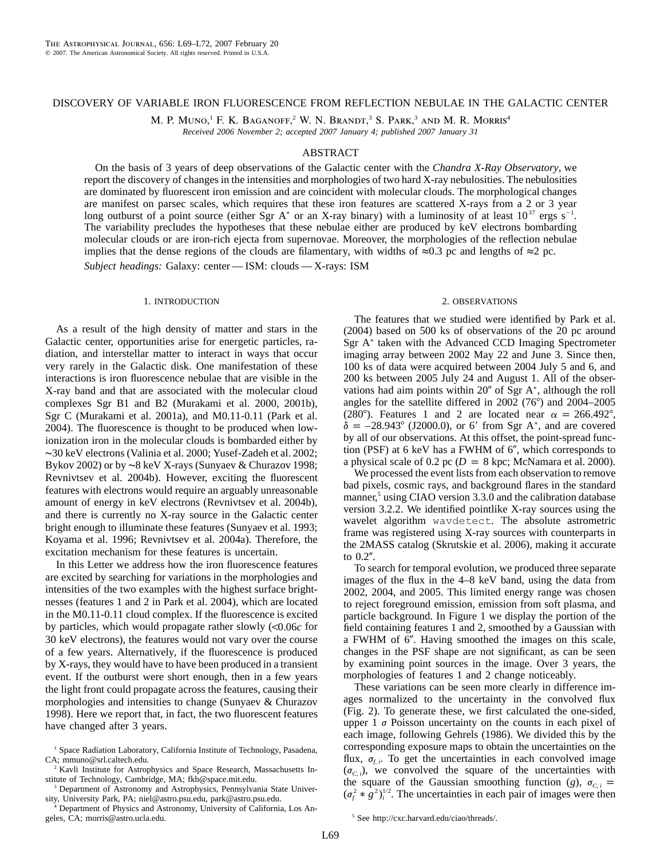## DISCOVERY OF VARIABLE IRON FLUORESCENCE FROM REFLECTION NEBULAE IN THE GALACTIC CENTER

M. P. MUNO,<sup>1</sup> F. K. BAGANOFF,<sup>2</sup> W. N. BRANDT,<sup>3</sup> S. PARK,<sup>3</sup> AND M. R. MORRIS<sup>4</sup>

*Received 2006 November 2; accepted 2007 January 4; published 2007 January 31*

# ABSTRACT

On the basis of 3 years of deep observations of the Galactic center with the *Chandra X-Ray Observatory*, we report the discovery of changes in the intensities and morphologies of two hard X-ray nebulosities. The nebulosities are dominated by fluorescent iron emission and are coincident with molecular clouds. The morphological changes are manifest on parsec scales, which requires that these iron features are scattered X-rays from a 2 or 3 year long outburst of a point source (either Sgr A<sup>\*</sup> or an X-ray binary) with a luminosity of at least  $10^{37}$  ergs s<sup>-1</sup>. The variability precludes the hypotheses that these nebulae either are produced by keV electrons bombarding molecular clouds or are iron-rich ejecta from supernovae. Moreover, the morphologies of the reflection nebulae implies that the dense regions of the clouds are filamentary, with widths of  $\approx 0.3$  pc and lengths of  $\approx 2$  pc.

*Subject headings:* Galaxy: center — ISM: clouds — X-rays: ISM

### 1. INTRODUCTION

As a result of the high density of matter and stars in the Galactic center, opportunities arise for energetic particles, radiation, and interstellar matter to interact in ways that occur very rarely in the Galactic disk. One manifestation of these interactions is iron fluorescence nebulae that are visible in the X-ray band and that are associated with the molecular cloud complexes Sgr B1 and B2 (Murakami et al. 2000, 2001b), Sgr C (Murakami et al. 2001a), and M0.11-0.11 (Park et al. 2004). The fluorescence is thought to be produced when lowionization iron in the molecular clouds is bombarded either by ∼30 keV electrons (Valinia et al. 2000; Yusef-Zadeh et al. 2002; Bykov 2002) or by ∼8 keV X-rays (Sunyaev & Churazov 1998; Revnivtsev et al. 2004b). However, exciting the fluorescent features with electrons would require an arguably unreasonable amount of energy in keV electrons (Revnivtsev et al. 2004b), and there is currently no X-ray source in the Galactic center bright enough to illuminate these features (Sunyaev et al. 1993; Koyama et al. 1996; Revnivtsev et al. 2004a). Therefore, the excitation mechanism for these features is uncertain.

In this Letter we address how the iron fluorescence features are excited by searching for variations in the morphologies and intensities of the two examples with the highest surface brightnesses (features 1 and 2 in Park et al. 2004), which are located in the M0.11-0.11 cloud complex. If the fluorescence is excited by particles, which would propagate rather slowly  $\langle 0.06c \rangle$  for 30 keV electrons), the features would not vary over the course of a few years. Alternatively, if the fluorescence is produced by X-rays, they would have to have been produced in a transient event. If the outburst were short enough, then in a few years the light front could propagate across the features, causing their morphologies and intensities to change (Sunyaev & Churazov 1998). Here we report that, in fact, the two fluorescent features have changed after 3 years.

<sup>3</sup> Department of Astronomy and Astrophysics, Pennsylvania State University, University Park, PA; niel@astro.psu.edu, park@astro.psu.edu.

<sup>4</sup> Department of Physics and Astronomy, University of California, Los Angeles, CA; morris@astro.ucla.edu.

### 2. OBSERVATIONS

The features that we studied were identified by Park et al. (2004) based on 500 ks of observations of the 20 pc around Sgr A<sup>\*</sup> taken with the Advanced CCD Imaging Spectrometer imaging array between 2002 May 22 and June 3. Since then, 100 ks of data were acquired between 2004 July 5 and 6, and 200 ks between 2005 July 24 and August 1. All of the observations had aim points within 20" of Sgr A<sup>\*</sup>, although the roll angles for the satellite differed in  $2002$  (76 $^{\circ}$ ) and  $2004-2005$ (280°). Features 1 and 2 are located near  $\alpha = 266.492$ °,  $\delta = -28.943^{\circ}$  (J2000.0), or 6' from Sgr A<sup>\*</sup>, and are covered by all of our observations. At this offset, the point-spread function (PSF) at 6 keV has a FWHM of  $6''$ , which corresponds to a physical scale of  $0.2$  pc ( $D = 8$  kpc; McNamara et al. 2000).

We processed the event lists from each observation to remove bad pixels, cosmic rays, and background flares in the standard manner,<sup>5</sup> using CIAO version 3.3.0 and the calibration database version 3.2.2. We identified pointlike X-ray sources using the wavelet algorithm wavdetect. The absolute astrometric frame was registered using X-ray sources with counterparts in the 2MASS catalog (Skrutskie et al. 2006), making it accurate to  $0.2$ ".

To search for temporal evolution, we produced three separate images of the flux in the 4–8 keV band, using the data from 2002, 2004, and 2005. This limited energy range was chosen to reject foreground emission, emission from soft plasma, and particle background. In Figure 1 we display the portion of the field containing features 1 and 2, smoothed by a Gaussian with a FWHM of 6". Having smoothed the images on this scale, changes in the PSF shape are not significant, as can be seen by examining point sources in the image. Over 3 years, the morphologies of features 1 and 2 change noticeably.

These variations can be seen more clearly in difference images normalized to the uncertainty in the convolved flux (Fig. 2). To generate these, we first calculated the one-sided, upper  $1 \sigma$  Poisson uncertainty on the counts in each pixel of each image, following Gehrels (1986). We divided this by the corresponding exposure maps to obtain the uncertainties on the flux,  $\sigma_{f,i}$ . To get the uncertainties in each convolved image  $(\sigma_{C,i})$ , we convolved the square of the uncertainties with the square of the Gaussian smoothing function (*g*),  $\sigma_{C,i}$  =  $(\sigma_f^2 * g^2)_i^{1/2}$ . The uncertainties in each pair of images were then

<sup>&</sup>lt;sup>1</sup> Space Radiation Laboratory, California Institute of Technology, Pasadena, CA; mmuno@srl.caltech.edu.

<sup>&</sup>lt;sup>2</sup> Kavli Institute for Astrophysics and Space Research, Massachusetts Institute of Technology, Cambridge, MA; fkb@space.mit.edu.

<sup>5</sup> See http://cxc.harvard.edu/ciao/threads/.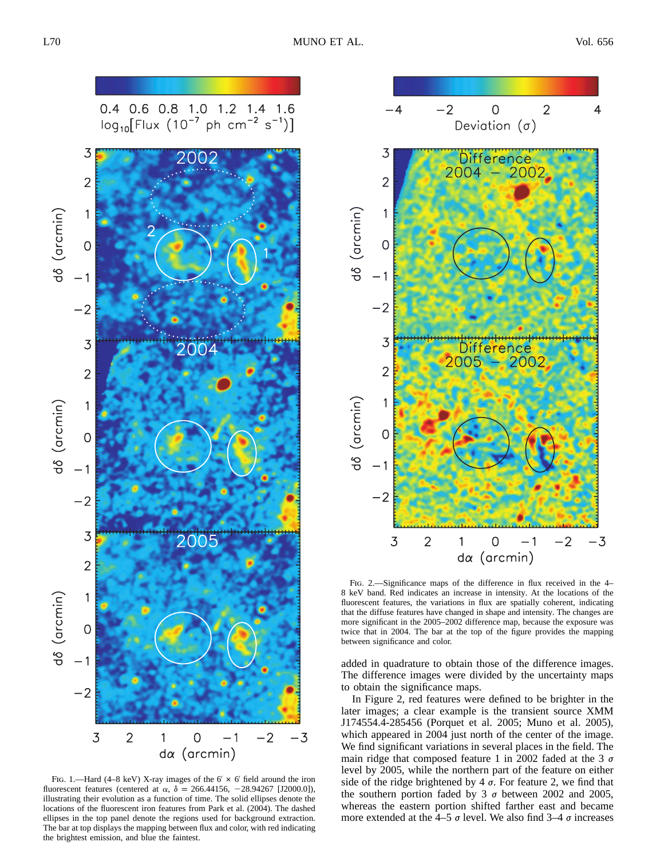

FIG. 1.—Hard (4–8 keV) X-ray images of the  $6' \times 6'$  field around the iron fluorescent features (centered at  $\alpha$ ,  $\delta = 266.44156, -28.94267$  [J2000.0]), illustrating their evolution as a function of time. The solid ellipses denote the locations of the fluorescent iron features from Park et al. (2004). The dashed ellipses in the top panel denote the regions used for background extraction. The bar at top displays the mapping between flux and color, with red indicating the brightest emission, and blue the faintest.



FIG. 2.—Significance maps of the difference in flux received in the 4– 8 keV band. Red indicates an increase in intensity. At the locations of the fluorescent features, the variations in flux are spatially coherent, indicating that the diffuse features have changed in shape and intensity. The changes are more significant in the 2005–2002 difference map, because the exposure was twice that in 2004. The bar at the top of the figure provides the mapping between significance and color.

added in quadrature to obtain those of the difference images. The difference images were divided by the uncertainty maps to obtain the significance maps.

In Figure 2, red features were defined to be brighter in the later images; a clear example is the transient source XMM J174554.4-285456 (Porquet et al. 2005; Muno et al. 2005), which appeared in 2004 just north of the center of the image. We find significant variations in several places in the field. The main ridge that composed feature 1 in 2002 faded at the 3  $\sigma$ level by 2005, while the northern part of the feature on either side of the ridge brightened by 4  $\sigma$ . For feature 2, we find that the southern portion faded by 3  $\sigma$  between 2002 and 2005, whereas the eastern portion shifted farther east and became more extended at the 4–5  $\sigma$  level. We also find 3–4  $\sigma$  increases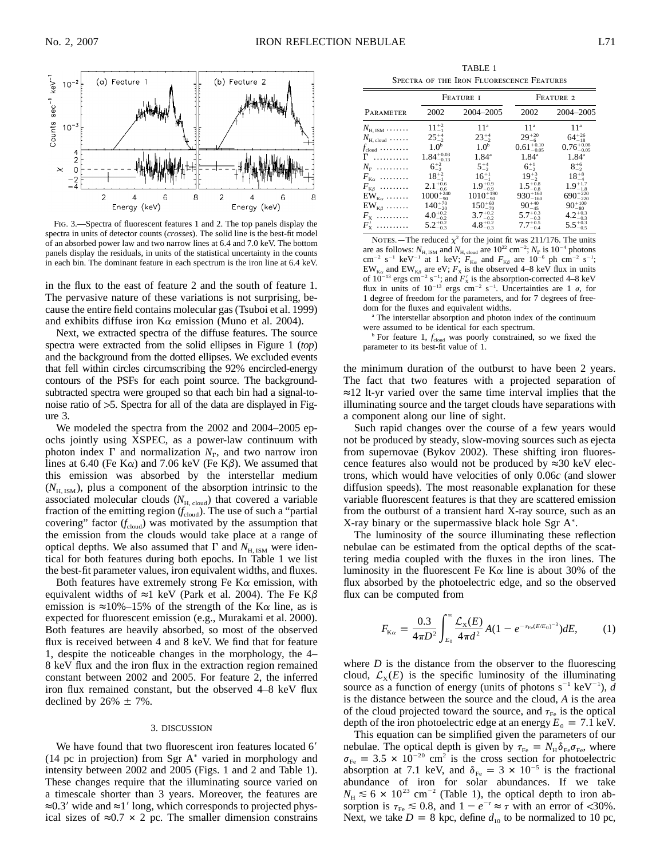

Fig. 3.—Spectra of fluorescent features 1 and 2. The top panels display the spectra in units of detector counts (*crosses*). The solid line is the best-fit model of an absorbed power law and two narrow lines at 6.4 and 7.0 keV. The bottom panels display the residuals, in units of the statistical uncertainty in the counts in each bin. The dominant feature in each spectrum is the iron line at 6.4 keV.

in the flux to the east of feature 2 and the south of feature 1. The pervasive nature of these variations is not surprising, because the entire field contains molecular gas (Tsuboi et al. 1999) and exhibits diffuse iron  $K\alpha$  emission (Muno et al. 2004).

Next, we extracted spectra of the diffuse features. The source spectra were extracted from the solid ellipses in Figure 1 (*top*) and the background from the dotted ellipses. We excluded events that fell within circles circumscribing the 92% encircled-energy contours of the PSFs for each point source. The backgroundsubtracted spectra were grouped so that each bin had a signal-tonoise ratio of  $>5$ . Spectra for all of the data are displayed in Figure 3.

We modeled the spectra from the 2002 and 2004–2005 epochs jointly using XSPEC, as a power-law continuum with photon index  $\Gamma$  and normalization  $N_{\Gamma}$ , and two narrow iron lines at 6.40 (Fe K $\alpha$ ) and 7.06 keV (Fe K $\beta$ ). We assumed that this emission was absorbed by the interstellar medium  $(N<sub>H. ISM</sub>)$ , plus a component of the absorption intrinsic to the associated molecular clouds  $(N_{\text{H, cloud}})$  that covered a variable fraction of the emitting region  $(f_{cloud})$ . The use of such a "partial covering" factor  $(f_{cloud})$  was motivated by the assumption that the emission from the clouds would take place at a range of optical depths. We also assumed that  $\Gamma$  and  $N_{\text{H, ISM}}$  were identical for both features during both epochs. In Table 1 we list the best-fit parameter values, iron equivalent widths, and fluxes.

Both features have extremely strong Fe  $K\alpha$  emission, with equivalent widths of  $\approx$ 1 keV (Park et al. 2004). The Fe K $\beta$ emission is ≈10%–15% of the strength of the K $\alpha$  line, as is expected for fluorescent emission (e.g., Murakami et al. 2000). Both features are heavily absorbed, so most of the observed flux is received between 4 and 8 keV. We find that for feature 1, despite the noticeable changes in the morphology, the 4– 8 keV flux and the iron flux in the extraction region remained constant between 2002 and 2005. For feature 2, the inferred iron flux remained constant, but the observed 4–8 keV flux declined by  $26\% \pm 7\%$ .

#### 3. DISCUSSION

We have found that two fluorescent iron features located 6' (14 pc in projection) from Sgr A<sup>\*</sup> varied in morphology and intensity between 2002 and 2005 (Figs. 1 and 2 and Table 1). These changes require that the illuminating source varied on a timescale shorter than 3 years. Moreover, the features are ≈0.3' wide and ≈1' long, which corresponds to projected physical sizes of  $\approx 0.7 \times 2$  pc. The smaller dimension constrains

TABLE 1 Spectra of the Iron Fluorescence Features

|                                      | FEATURE I              |                     | FEATURE 2              |                        |
|--------------------------------------|------------------------|---------------------|------------------------|------------------------|
| PARAMETER                            | 2002                   | 2004-2005           | 2002                   | 2004-2005              |
| $N_{\rm H,\,ISM}$                    | $11^{+2}_{-1}$         | 11 <sup>a</sup>     | 11 <sup>a</sup>        | 11 <sup>a</sup>        |
| $N_{\text{H, cloud}}$                | $25^{+4}_{-2}$         | $23^{+4}_{-2}$      | $29^{+20}_{-6}$        | $64^{+26}_{-18}$       |
| $f_{\text{cloud}} \dots \dots \dots$ | 1.0 <sup>b</sup>       | 1.0 <sup>b</sup>    | $0.61_{-0.05}^{+0.10}$ | $0.76^{+0.08}_{-0.05}$ |
| $\Gamma$                             | $1.84^{+0.03}_{-0.13}$ | $1.84^{\circ}$      | $1.84^{\circ}$         | $1.84^{\circ}$         |
| $N_{\rm r}$                          | $6^{+2}_{-2}$          | $5^{+4}_{-2}$       | $6^{+1}_{-2}$          | $8^{+6}_{-2}$          |
| $F_{\kappa\alpha}$                   | $18^{+2}_{-1}$         | $16^{+1}_{-1}$      | $19^{+3}_{-2}$         | $18^{+8}_{-4}$         |
| $F_{K\beta}$                         | $2.1^{+0.6}_{-0.6}$    | $1.9^{+0.9}_{-0.9}$ | $1.5^{+0.8}_{-0.8}$    | $1.9^{+1.7}_{-1.8}$    |
| $EW_{K\alpha}$                       | $1000^{+240}_{-90}$    | $1010^{+190}_{-90}$ | $930^{+160}_{-160}$    | $690^{+220}_{-220}$    |
| $EW_{K\beta}$                        | $140^{+70}_{-20}$      | $150^{+60}_{-70}$   | $90^{+40}_{-45}$       | $90^{+100}_{-80}$      |
| $F_{\rm x}$                          | $4.0^{+0.2}_{-0.2}$    | $3.7^{+0.2}_{-0.2}$ | $5.7^{+0.3}_{-0.3}$    | $4.2^{+0.3}_{-0.3}$    |
| $F'_{x}$                             | $5.2^{+0.2}_{-0.3}$    | $4.8^{+0.2}_{-0.3}$ | $7.7^{+0.5}_{-0.4}$    | $5.5^{+0.3}_{-0.5}$    |

NOTES.—The reduced  $\chi^2$  for the joint fit was 211/176. The units are as follows:  $N_{\text{H, ISM}}$  and  $N_{\text{H, cloud}}$  are  $10^{22} \text{ cm}^{-2}$ ;  $N_{\text{r}}$  is  $10^{-4}$  photons  $\text{cm}^{-2}$  s<sup>-1</sup> keV<sup>-1</sup> at 1 keV;  $F_{\text{K}\alpha}$  and  $F_{\text{K}\beta}$  are 10<sup>-6</sup> ph cm<sup>-2</sup> s<sup>-1</sup>;  $EW_{K\alpha}$  and  $EW_{K\beta}$  are eV;  $F_X$  is the observed 4–8 keV flux in units of  $10^{-13}$  ergs cm<sup>-2</sup> s<sup>-1</sup>; and  $F'_x$  is the absorption-corrected 4–8 keV flux in units of  $10^{-13}$  ergs cm<sup>-2</sup> s<sup>-1</sup>. Uncertainties are 1  $\sigma$ , for 1 degree of freedom for the parameters, and for 7 degrees of freedom for the fluxes and equivalent widths.

<sup>a</sup> The interstellar absorption and photon index of the continuum were assumed to be identical for each spectrum.

<sup>b</sup> For feature 1,  $f_{cloud}$  was poorly constrained, so we fixed the parameter to its best-fit value of 1.

the minimum duration of the outburst to have been 2 years. The fact that two features with a projected separation of ≈12 lt-yr varied over the same time interval implies that the illuminating source and the target clouds have separations with a component along our line of sight.

Such rapid changes over the course of a few years would not be produced by steady, slow-moving sources such as ejecta from supernovae (Bykov 2002). These shifting iron fluorescence features also would not be produced by ≈30 keV electrons, which would have velocities of only 0.06*c* (and slower diffusion speeds). The most reasonable explanation for these variable fluorescent features is that they are scattered emission from the outburst of a transient hard X-ray source, such as an X-ray binary or the supermassive black hole Sgr  $A^*$ .

The luminosity of the source illuminating these reflection nebulae can be estimated from the optical depths of the scattering media coupled with the fluxes in the iron lines. The luminosity in the fluorescent Fe K $\alpha$  line is about 30% of the flux absorbed by the photoelectric edge, and so the observed flux can be computed from

$$
F_{\text{K}\alpha} = \frac{0.3}{4\pi D^2} \int_{E_0}^{\infty} \frac{\mathcal{L}_X(E)}{4\pi d^2} A(1 - e^{-\tau_{\text{Fe}}(E/E_0)^{-3}}) dE, \tag{1}
$$

where  $D$  is the distance from the observer to the fluorescing cloud,  $\mathcal{L}_X(E)$  is the specific luminosity of the illuminating source as a function of energy (units of photons  $s^{-1}$  keV<sup>-1</sup>), *d* is the distance between the source and the cloud, *A* is the area of the cloud projected toward the source, and  $\tau_{\text{Fe}}$  is the optical depth of the iron photoelectric edge at an energy  $E_0 = 7.1$  keV.

This equation can be simplified given the parameters of our nebulae. The optical depth is given by  $\tau_{\rm Fe} = N_{\rm H} \delta_{\rm Fe} \sigma_{\rm Fe}$ , where  $\sigma_{\text{Fe}} = 3.5 \times 10^{-20} \text{ cm}^2$  is the cross section for photoelectric absorption at 7.1 keV, and  $\delta_{\text{Fe}} = 3 \times 10^{-5}$  is the fractional abundance of iron for solar abundances. If we take  $N_{\text{H}} \lesssim 6 \times 10^{23} \text{ cm}^{-2}$  (Table 1), the optical depth to iron absorption is  $\tau_{\text{Fe}} \le 0.8$ , and  $1 - e^{-\tau} \approx \tau$  with an error of <30%. Next, we take  $D = 8$  kpc, define  $d_{10}$  to be normalized to 10 pc,